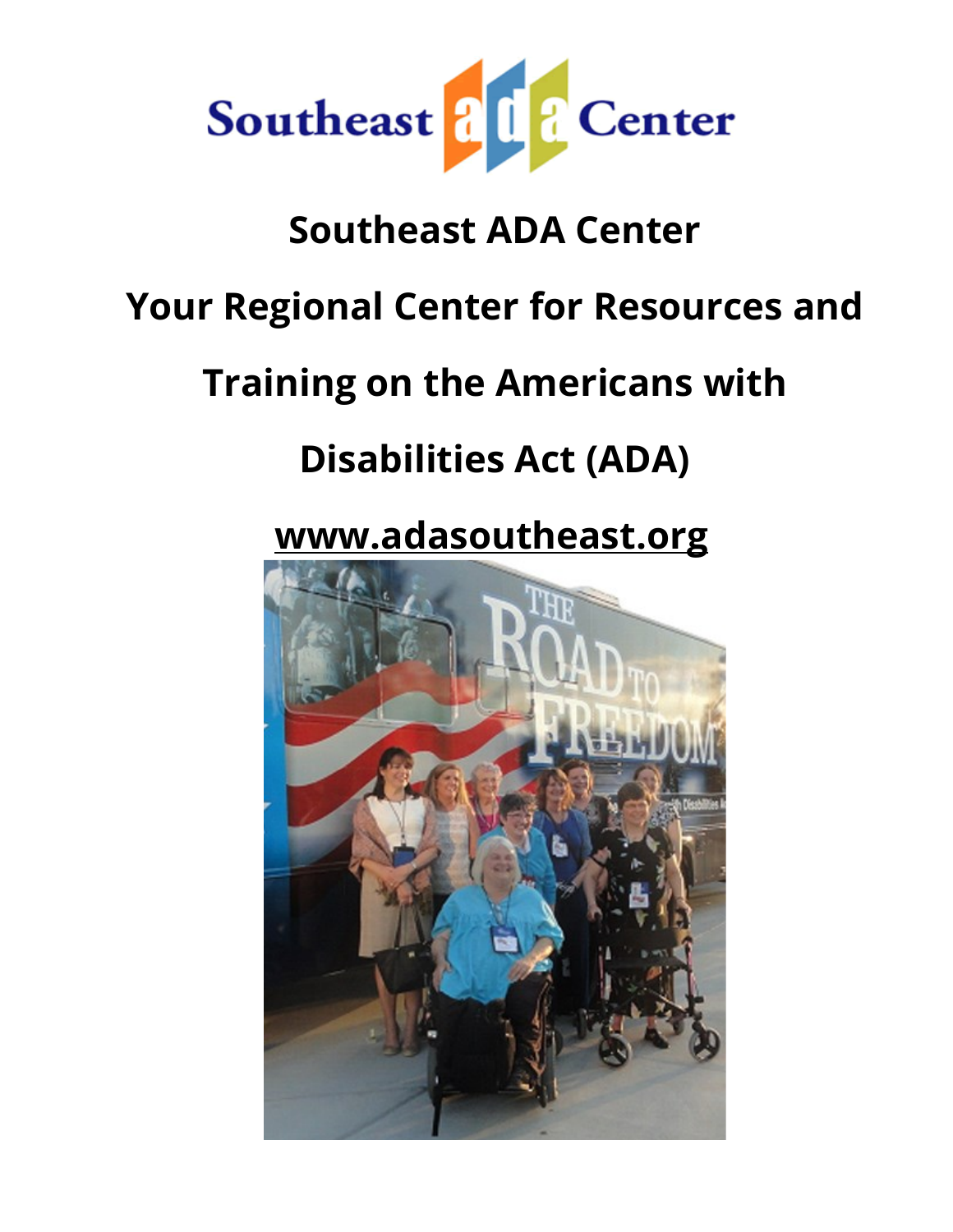

#### **Southeast ADA Center**

#### **Your Regional Center for Resources and**

### **Training on the Americans with**

### **Disabilities Act (ADA)**

#### **[www.adasoutheast.org](http://www.adasoutheast.org/)**

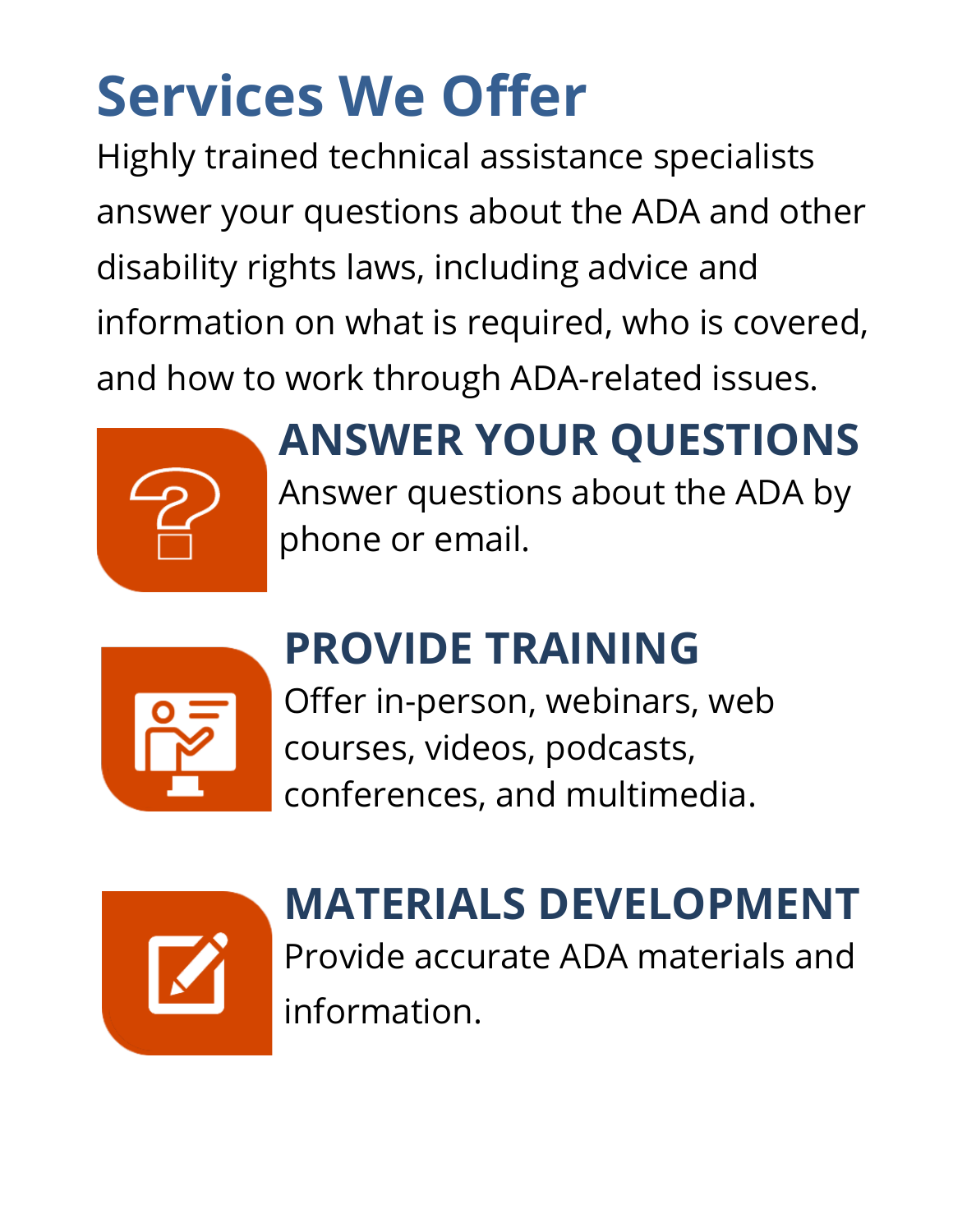# **Services We Offer**

Highly trained technical assistance specialists answer your questions about the ADA and other disability rights laws, including advice and information on what is required, who is covered, and how to work through ADA-related issues.



### **ANSWER YOUR QUESTIONS** Answer questions about the ADA by phone or email.



## **PROVIDE TRAINING**

Offer in-person, webinars, web courses, videos, podcasts, conferences, and multimedia.



## **MATERIALS DEVELOPMENT**

Provide accurate ADA materials and information.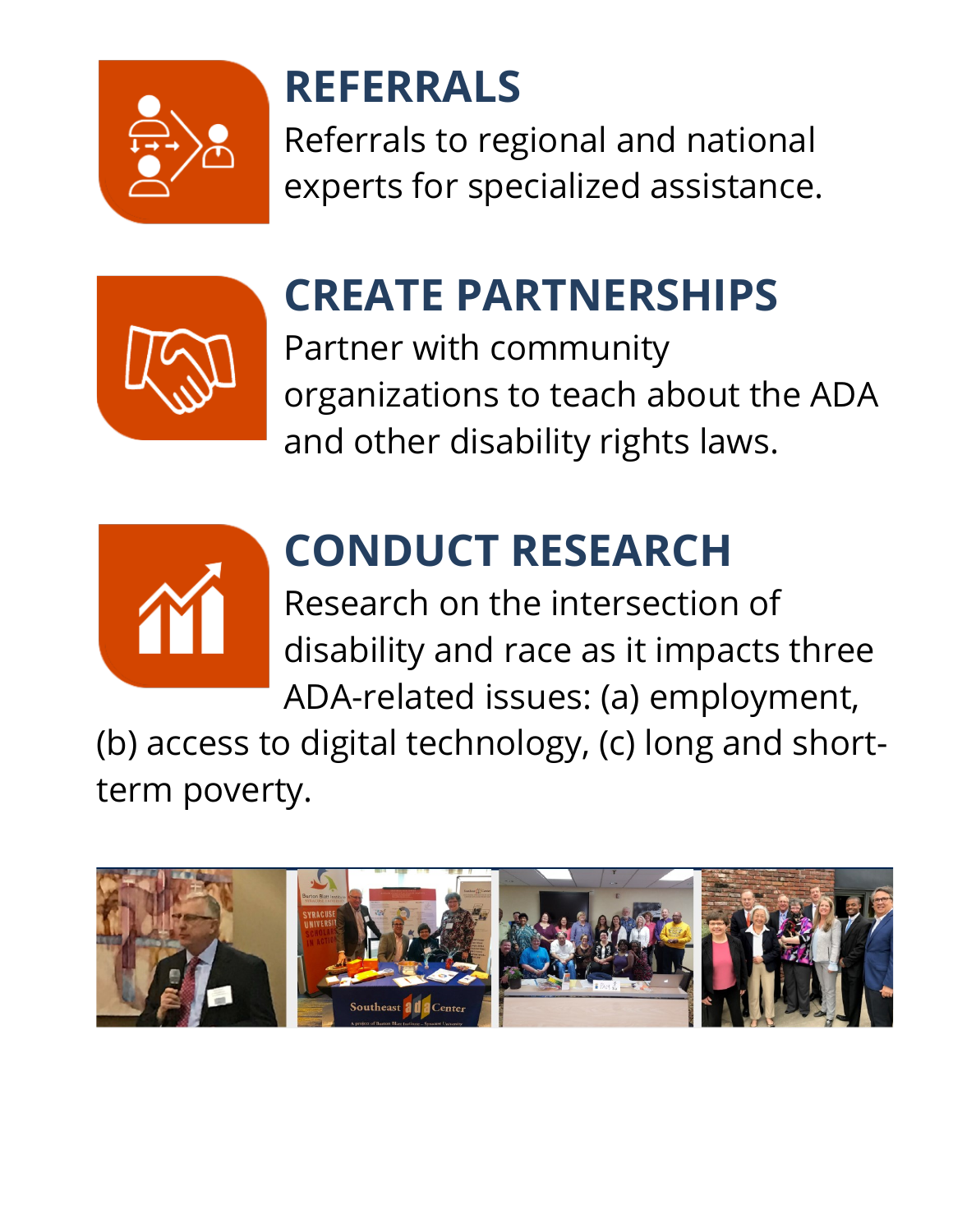

### **REFERRALS**

Referrals to regional and national experts for specialized assistance.



### **CREATE PARTNERSHIPS**

Partner with community organizations to teach about the ADA and other disability rights laws.



## **CONDUCT RESEARCH**

Research on the intersection of disability and race as it impacts three ADA-related issues: (a) employment,

(b) access to digital technology, (c) long and shortterm poverty.

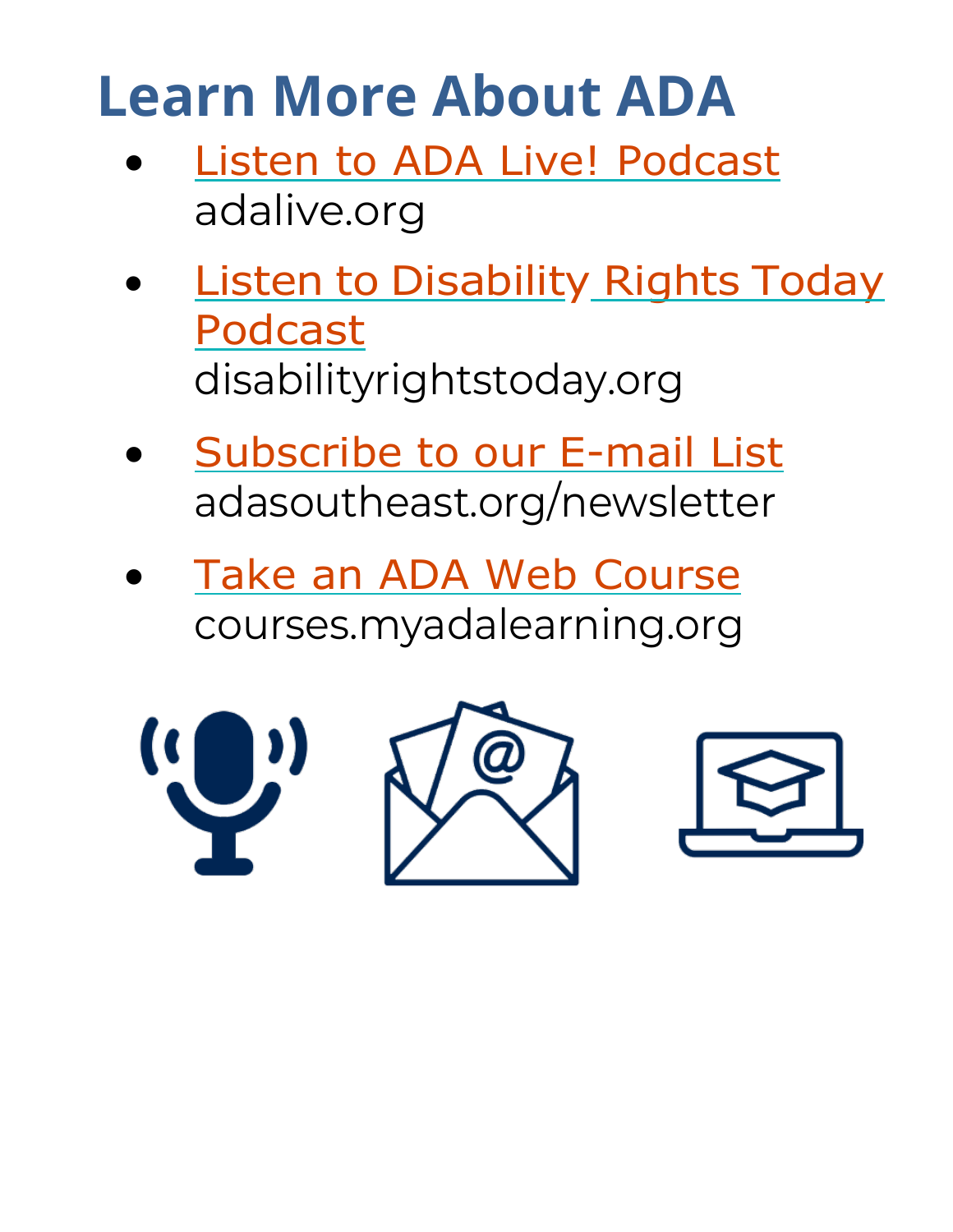## **Learn More About ADA**

- [Listen to ADA Live! Podcast](https://adalive.org/) adalive.org
- **Listen to [Disability](https://disabilityrightstoday.org/) Rights Today** [Podcast](https://disabilityrightstoday.org/) disabilityrightstoday.org
- [Subscribe](https://adasoutheast.org/newsletter/) to our E-mail List adasoutheast.org/newsletter
- [Take an ADA Web Course](https://courses.myadalearning.org/courses) courses.myadalearning.org

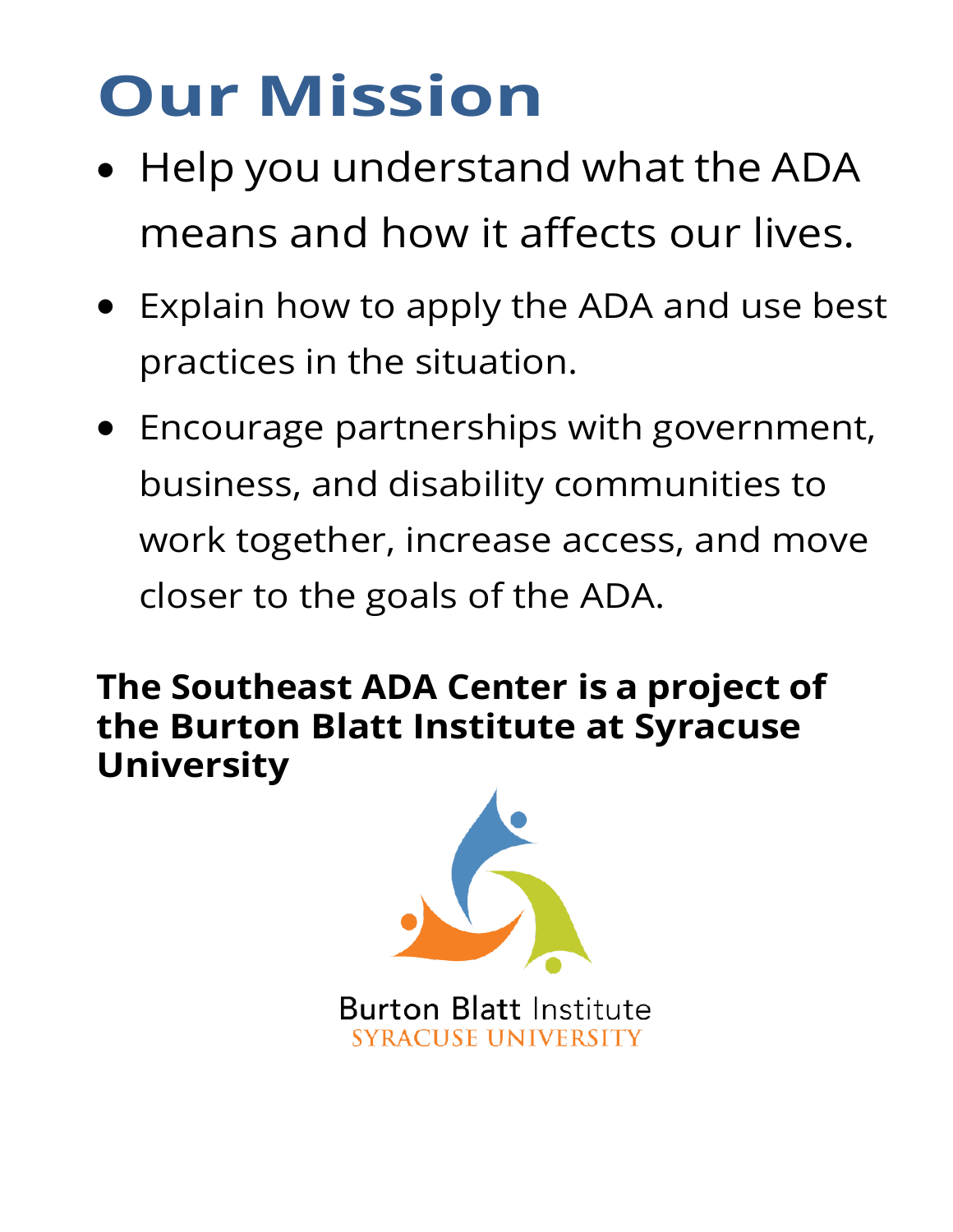# **Our Mission**

- Help you understand what the ADA means and how it affects our lives.
- Explain how to apply the ADA and use best practices in the situation.
- Encourage partnerships with government, business, and disability communities to work together, increase access, and move closer to the goals of the ADA.

**The Southeast ADA Center is a project of the Burton Blatt Institute at Syracuse University**



**Burton Blatt Institute SYRACUSE UNIVERSITY**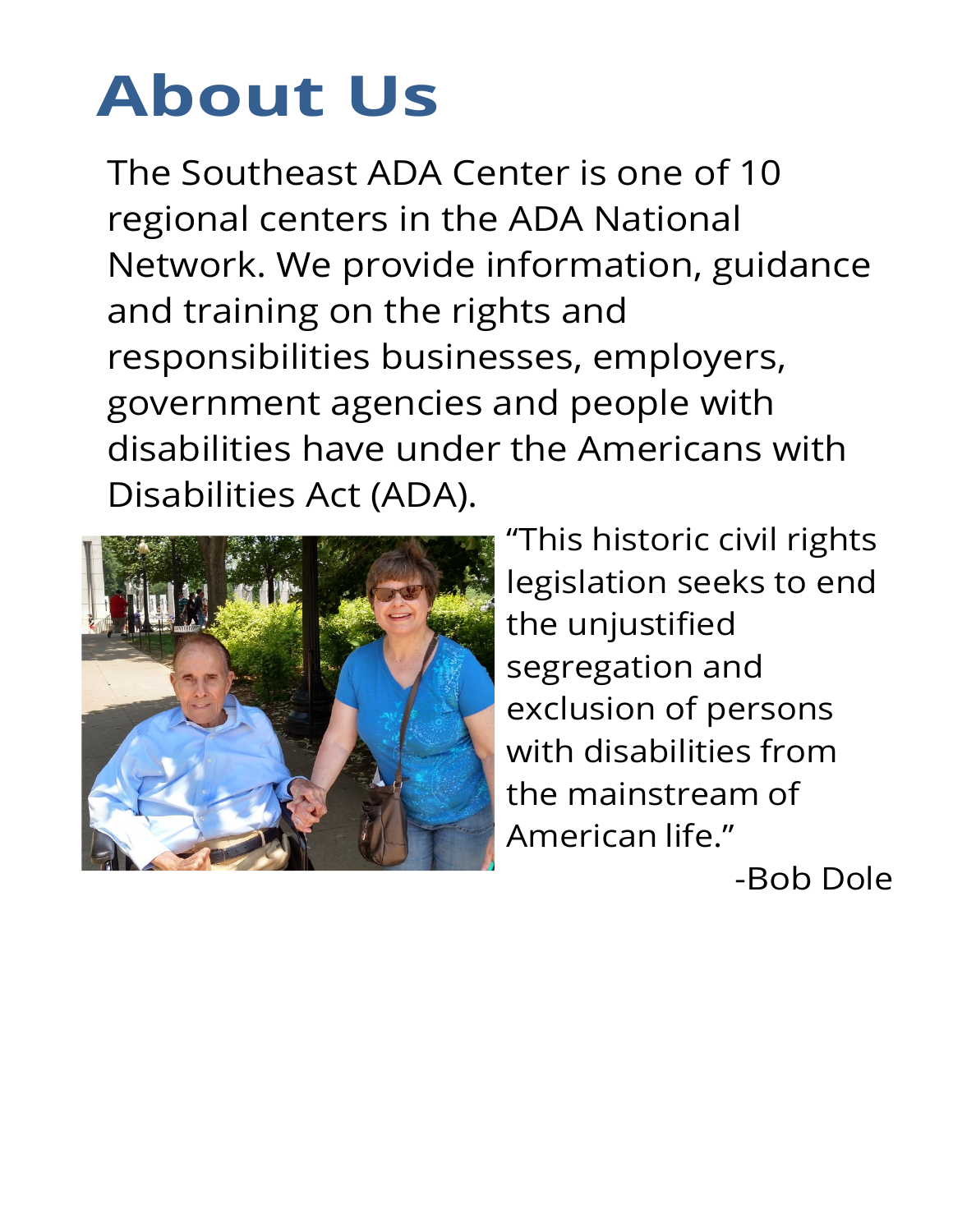# **About Us**

The Southeast ADA Center is one of 10 regional centers in the ADA National Network. We provide information, guidance and training on the rights and responsibilities businesses, employers, government agencies and people with disabilities have under the Americans with Disabilities Act (ADA).



"This historic civil rights legislation seeks to end the unjustified segregation and exclusion of persons with disabilities from the mainstream of American life."

-Bob Dole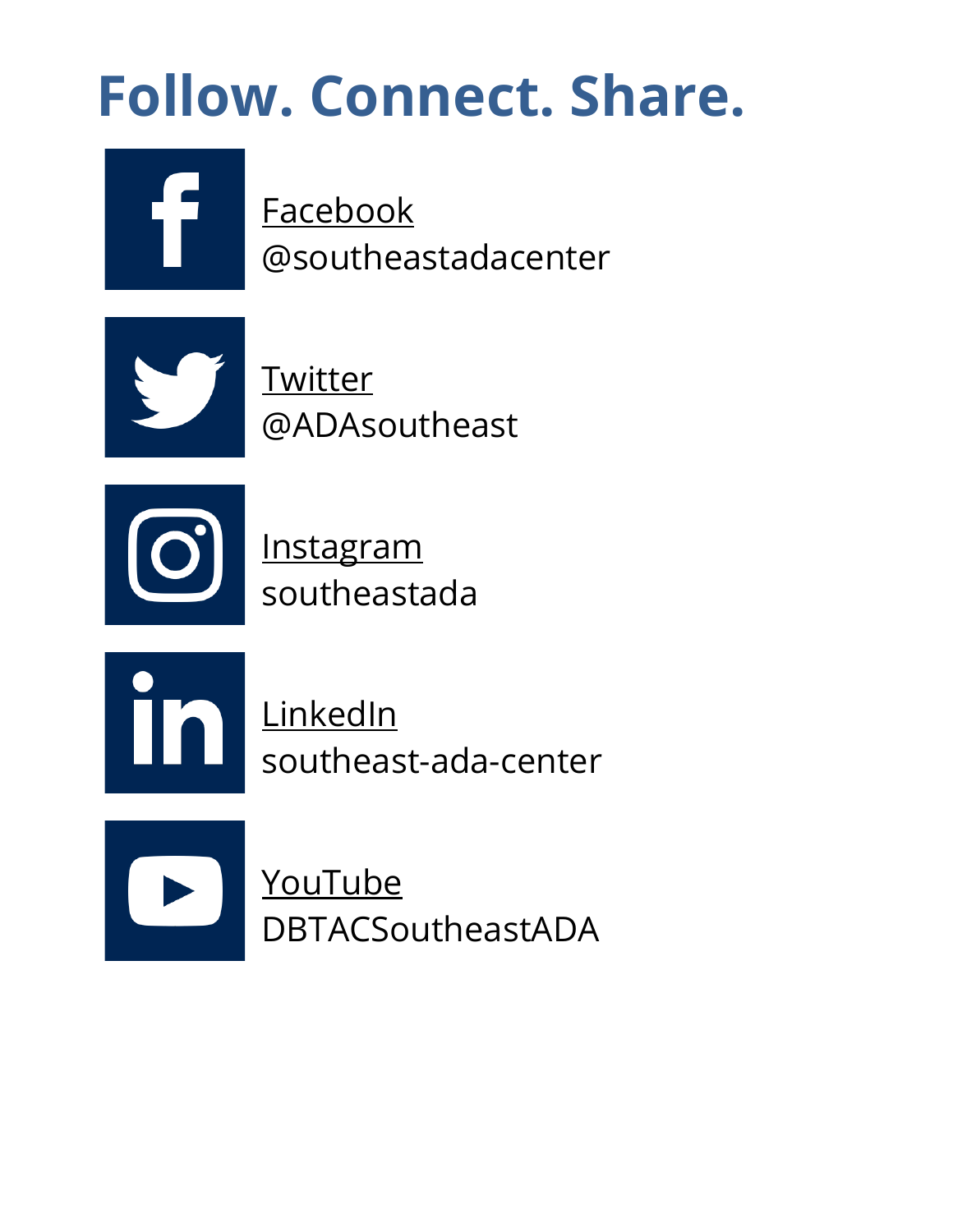# **Follow. Connect. Share.**

[Facebook](https://www.facebook.com/southeastadacenter) @southeastadacenter



**[Twitter](https://twitter.com/adasoutheast)** @ADAsoutheast



**[Instagram](https://www.instagram.com/southeastada/)** southeastada



**[LinkedIn](https://www.linkedin.com/company/southeast-ada-center)** southeast-ada-center

[YouTube](http://www.youtube.com/user/DBTACSoutheastADA) DBTACSoutheastADA